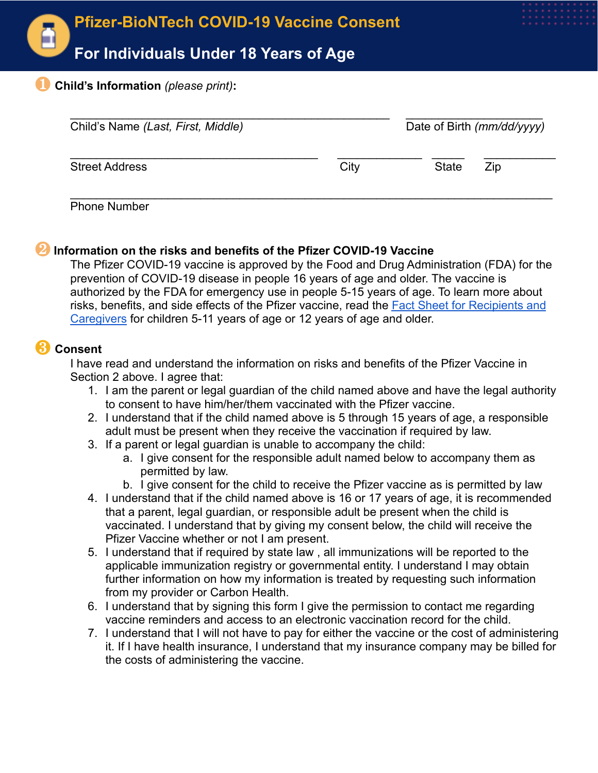

## ❶ **Child's Information** *(please print)***:**

| Child's Name (Last, First, Middle) |      | Date of Birth (mm/dd/yyyy) |     |
|------------------------------------|------|----------------------------|-----|
| <b>Street Address</b>              | City | <b>State</b>               | Zip |

Phone Number

## ❷ **Information on the risks and benefits of the Pfizer COVID-19 Vaccine**

The Pfizer COVID-19 vaccine is approved by the Food and Drug Administration (FDA) for the prevention of COVID-19 disease in people 16 years of age and older. The vaccine is authorized by the FDA for emergency use in people 5-15 years of age. To learn more about risks, benefits, and side effects of the Pfizer vaccine, read the [Fact Sheet for Recipients and](https://www.fda.gov/emergency-preparedness-and-response/coronavirus-disease-2019-covid-19/comirnaty-and-pfizer-biontech-covid-19-vaccine#additional) [Caregivers](https://www.fda.gov/emergency-preparedness-and-response/coronavirus-disease-2019-covid-19/comirnaty-and-pfizer-biontech-covid-19-vaccine#additional) for children 5-11 years of age or 12 years of age and older.

## ❸ **Consent**

I have read and understand the information on risks and benefits of the Pfizer Vaccine in Section 2 above. I agree that:

- 1. I am the parent or legal guardian of the child named above and have the legal authority to consent to have him/her/them vaccinated with the Pfizer vaccine.
- 2. I understand that if the child named above is 5 through 15 years of age, a responsible adult must be present when they receive the vaccination if required by law.
- 3. If a parent or legal guardian is unable to accompany the child:
	- a. I give consent for the responsible adult named below to accompany them as permitted by law.
	- b. I give consent for the child to receive the Pfizer vaccine as is permitted by law
- 4. I understand that if the child named above is 16 or 17 years of age, it is recommended that a parent, legal guardian, or responsible adult be present when the child is vaccinated. I understand that by giving my consent below, the child will receive the Pfizer Vaccine whether or not I am present.
- 5. I understand that if required by state law , all immunizations will be reported to the applicable immunization registry or governmental entity. I understand I may obtain further information on how my information is treated by requesting such information from my provider or Carbon Health.
- 6. I understand that by signing this form I give the permission to contact me regarding vaccine reminders and access to an electronic vaccination record for the child.
- 7. I understand that I will not have to pay for either the vaccine or the cost of administering it. If I have health insurance, I understand that my insurance company may be billed for the costs of administering the vaccine.